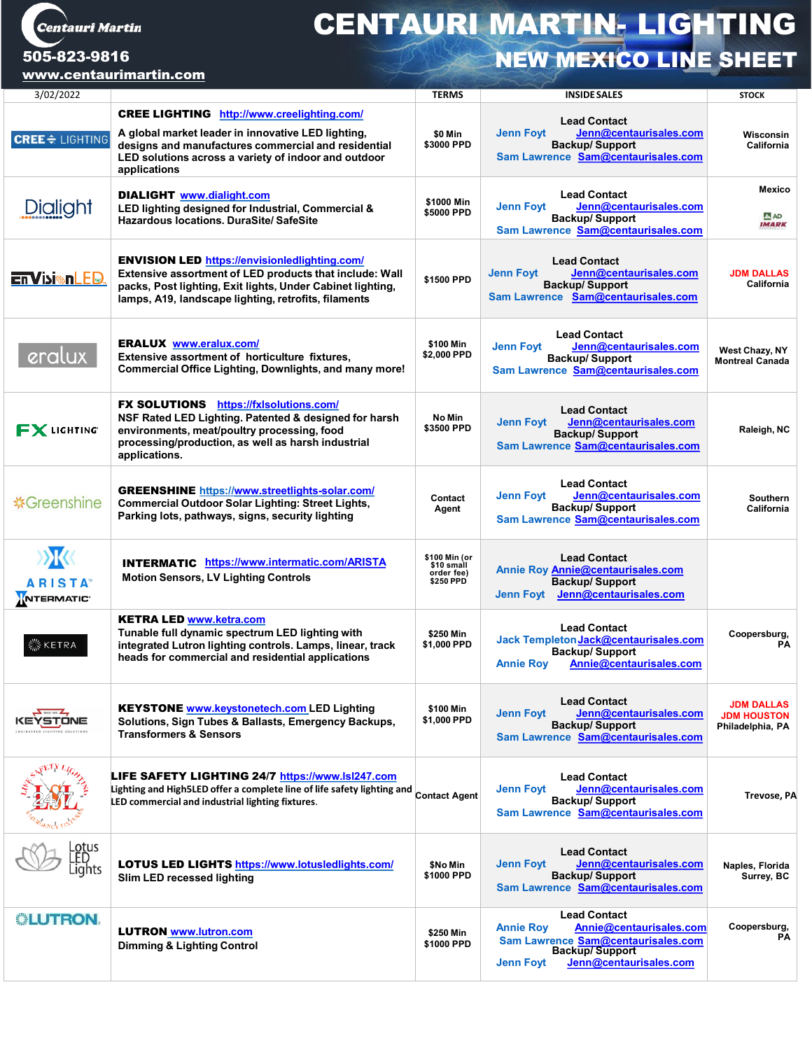Centauri Martin

## CENTAURI MARTIN- LIGHTING 505-823-9816<br>NEW MEXICO LINE SHEET

[www.centaurimartin.com](http://www.centaurimartin.com/)

| 3/02/2022                                                 |                                                                                                                                                                                                                                        | <b>TERMS</b>                                           | <b>INSIDE SALES</b>                                                                                                                                                             | <b>STOCK</b>                                                |
|-----------------------------------------------------------|----------------------------------------------------------------------------------------------------------------------------------------------------------------------------------------------------------------------------------------|--------------------------------------------------------|---------------------------------------------------------------------------------------------------------------------------------------------------------------------------------|-------------------------------------------------------------|
| <b>CREE</b> $\div$ LIGHTING                               | <b>CREE LIGHTING</b> http://www.creelighting.com/<br>A global market leader in innovative LED lighting,<br>designs and manufactures commercial and residential<br>LED solutions across a variety of indoor and outdoor<br>applications | \$0 Min<br>\$3000 PPD                                  | <b>Lead Contact</b><br><b>Jenn Foyt</b><br>Jenn@centaurisales.com<br><b>Backup/Support</b><br>Sam Lawrence Sam@centaurisales.com                                                | Wisconsin<br>California                                     |
| Dialight                                                  | <b>DIALIGHT</b> www.dialight.com<br>LED lighting designed for Industrial, Commercial &<br><b>Hazardous locations, DuraSite/SafeSite</b>                                                                                                | \$1000 Min<br>\$5000 PPD                               | <b>Lead Contact</b><br><b>Jenn Foyt</b><br>Jenn@centaurisales.com<br><b>Backup/Support</b><br>Sam Lawrence Sam@centaurisales.com                                                | <b>Mexico</b><br>A AD<br><b>IMARK</b>                       |
| <b>En Visiton LED.</b>                                    | <b>ENVISION LED https://envisionledlighting.com/</b><br>Extensive assortment of LED products that include: Wall<br>packs, Post lighting, Exit lights, Under Cabinet lighting,<br>lamps, A19, landscape lighting, retrofits, filaments  | \$1500 PPD                                             | <b>Lead Contact</b><br><b>Jenn Foyt</b><br>Jenn@centaurisales.com<br><b>Backup/Support</b><br>Sam Lawrence Sam@centaurisales.com                                                | <b>JDM DALLAS</b><br>California                             |
| eralux                                                    | <b>ERALUX</b> www.eralux.com/<br>Extensive assortment of horticulture fixtures.<br>Commercial Office Lighting, Downlights, and many more!                                                                                              | \$100 Min<br>\$2,000 PPD                               | <b>Lead Contact</b><br><b>Jenn Foyt</b><br>Jenn@centaurisales.com<br><b>Backup/Support</b><br>Sam Lawrence Sam@centaurisales.com                                                | West Chazy, NY<br><b>Montreal Canada</b>                    |
| <b>FX</b> LIGHTING                                        | <b>FX SOLUTIONS</b> https://fxlsolutions.com/<br>NSF Rated LED Lighting. Patented & designed for harsh<br>environments, meat/poultry processing, food<br>processing/production, as well as harsh industrial<br>applications.           | No Min<br>\$3500 PPD                                   | <b>Lead Contact</b><br><b>Jenn Foyt</b><br>Jenn@centaurisales.com<br><b>Backup/Support</b><br>Sam Lawrence Sam@centaurisales.com                                                | Raleigh, NC                                                 |
| <b> ※ Greenshine</b>                                      | <b>GREENSHINE https://www.streetlights-solar.com/</b><br>Commercial Outdoor Solar Lighting: Street Lights,<br>Parking lots, pathways, signs, security lighting                                                                         | Contact<br>Agent                                       | <b>Lead Contact</b><br><b>Jenn Foyt</b><br>Jenn@centaurisales.com<br><b>Backup/Support</b><br>Sam Lawrence Sam@centaurisales.com                                                | <b>Southern</b><br>California                               |
| <b>EXECUTE</b><br><b>ARISTA</b><br>NTERMATIC <sup>®</sup> | <b>INTERMATIC https://www.intermatic.com/ARISTA</b><br><b>Motion Sensors, LV Lighting Controls</b>                                                                                                                                     | \$100 Min (or<br>\$10 small<br>order fee)<br>\$250 PPD | <b>Lead Contact</b><br>Annie Roy Annie@centaurisales.com<br><b>Backup/Support</b><br>Jenn@centaurisales.com<br>Jenn Foyt                                                        |                                                             |
| ≶ KETRA                                                   | <b>KETRA LED www.ketra.com</b><br>Tunable full dynamic spectrum LED lighting with<br>integrated Lutron lighting controls. Lamps, linear, track<br>heads for commercial and residential applications                                    | \$250 Min<br>\$1,000 PPD                               | <b>Lead Contact</b><br>Jack Templeton Jack@centaurisales.com<br><b>Backup/Support</b><br>Annie@centaurisales.com<br><b>Annie Roy</b>                                            | Coopersburg,<br><b>PA</b>                                   |
| /STONE<br>NGINEERED LIGHTING SOLUTIONS                    | <b>KEYSTONE www.keystonetech.com LED Lighting</b><br>Solutions, Sign Tubes & Ballasts, Emergency Backups,<br><b>Transformers &amp; Sensors</b>                                                                                         | \$100 Min<br>\$1,000 PPD                               | <b>Lead Contact</b><br><b>Jenn Foyt</b><br>Jenn@centaurisales.com<br><b>Backup/Support</b><br>Sam Lawrence Sam@centaurisales.com                                                | <b>JDM DALLAS</b><br><b>JDM HOUSTON</b><br>Philadelphia, PA |
|                                                           | LIFE SAFETY LIGHTING 24/7 https://www.lsi247.com<br>Lighting and High5LED offer a complete line of life safety lighting and Contact Agent<br>LED commercial and industrial lighting fixtures.                                          |                                                        | <b>Lead Contact</b><br><b>Jenn Fovt</b><br>Jenn@centaurisales.com<br><b>Backup/Support</b><br>Sam Lawrence Sam@centaurisales.com                                                | Trevose, PA                                                 |
| .otus<br>ights                                            | <b>LOTUS LED LIGHTS https://www.lotusledlights.com/</b><br>Slim LED recessed lighting                                                                                                                                                  | \$No Min<br>\$1000 PPD                                 | <b>Lead Contact</b><br><b>Jenn Foyt</b><br>Jenn@centaurisales.com<br><b>Backup/Support</b><br>Sam Lawrence Sam@centaurisales.com                                                | Naples, Florida<br>Surrey, BC                               |
| <b> LUTRON.</b>                                           | <b>LUTRON www.lutron.com</b><br><b>Dimming &amp; Lighting Control</b>                                                                                                                                                                  | \$250 Min<br>\$1000 PPD                                | <b>Lead Contact</b><br>Annie@centaurisales.com<br><b>Annie Roy</b><br>Sam Lawrence Sam@centaurisales.com<br><b>Backup/Support</b><br>Jenn@centaurisales.com<br><b>Jenn Foyt</b> | Coopersburg,<br><b>PA</b>                                   |